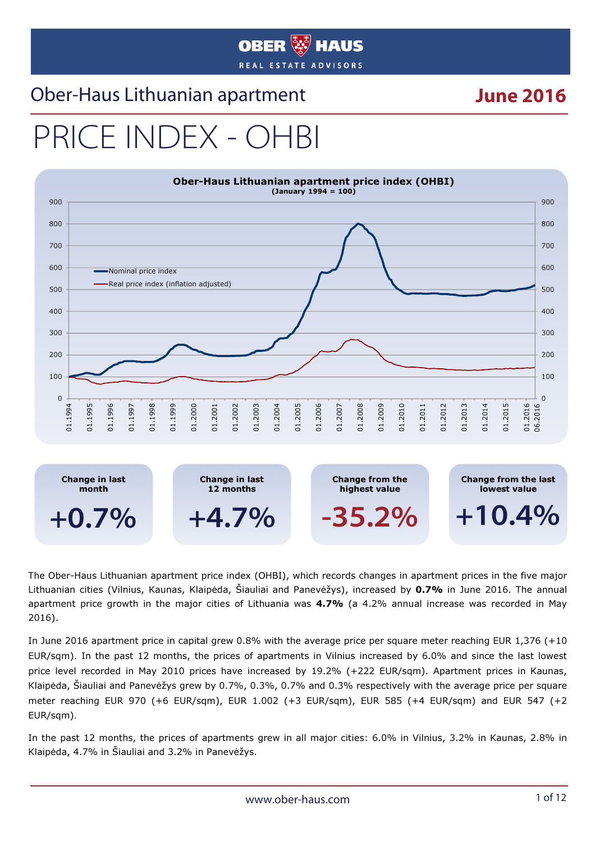#### **OBER ###** HAUS REAL ESTATE ADVISORS

#### Ober-Haus Lithuanian apartment **June 2016**

# PRICE INDEX - OH



The Ober-Haus Lithuanian apartment price index (OHBI), which records changes in apartment prices in the five major Lithuanian cities (Vilnius, Kaunas, Klaipėda, Šiauliai and Panevėžys), increased by 0.7% in June 2016. The annual apartment price growth in the major cities of Lithuania was 4.7% (a 4.2% annual increase was recorded in May 2016).

In June 2016 apartment price in capital grew 0.8% with the average price per square meter reaching EUR 1,376 (+10 EUR/sqm). In the past 12 months, the prices of apartments in Vilnius increased by 6.0% and since the last lowest price level recorded in May 2010 prices have increased by 19.2% (+222 EUR/sqm). Apartment prices in Kaunas, Klaipėda, Šiauliai and Panevėžys grew by 0.7%, 0.3%, 0.7% and 0.3% respectively with the average price per square meter reaching EUR 970 (+6 EUR/sqm), EUR 1.002 (+3 EUR/sqm), EUR 585 (+4 EUR/sqm) and EUR 547 (+2 EUR/sqm).

In the past 12 months, the prices of apartments grew in all major cities: 6.0% in Vilnius, 3.2% in Kaunas, 2.8% in Klaipėda, 4.7% in Šiauliai and 3.2% in Panevėžys.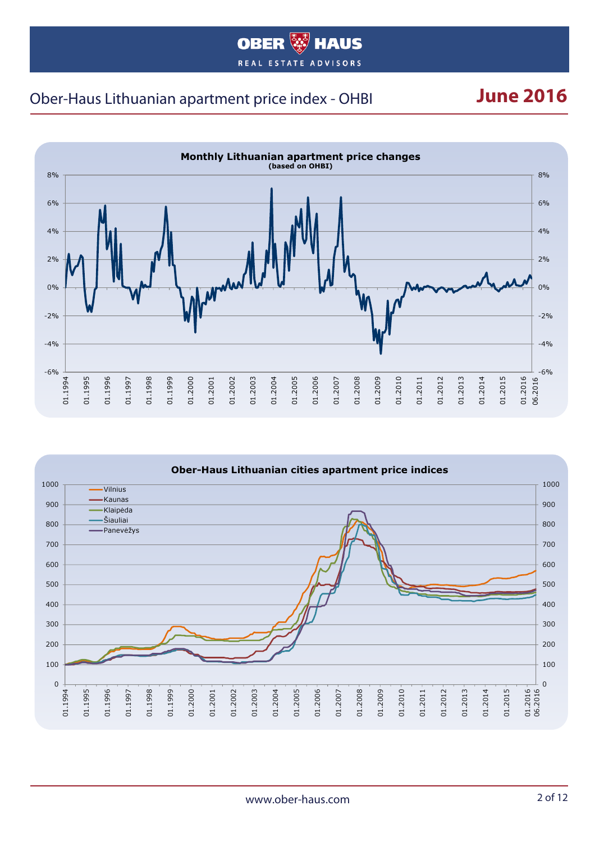#### **OBER WAUS** REAL ESTATE ADVISORS

#### Ober-Haus Lithuanian apartment price index - OHBI **June 2016**



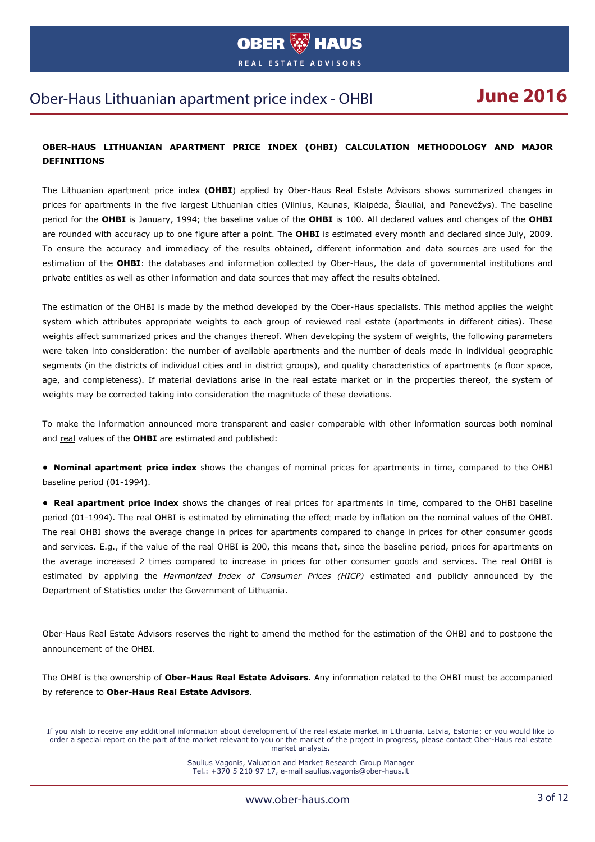

#### Ober-Haus Lithuanian apartment price index - OHBI **June 2016**

#### OBER-HAUS LITHUANIAN APARTMENT PRICE INDEX (OHBI) CALCULATION METHODOLOGY AND MAJOR **DEFINITIONS**

The Lithuanian apartment price index (OHBI) applied by Ober-Haus Real Estate Advisors shows summarized changes in prices for apartments in the five largest Lithuanian cities (Vilnius, Kaunas, Klaipėda, Šiauliai, and Panevėžys). The baseline period for the OHBI is January, 1994; the baseline value of the OHBI is 100. All declared values and changes of the OHBI are rounded with accuracy up to one figure after a point. The OHBI is estimated every month and declared since July, 2009. To ensure the accuracy and immediacy of the results obtained, different information and data sources are used for the estimation of the OHBI: the databases and information collected by Ober-Haus, the data of governmental institutions and private entities as well as other information and data sources that may affect the results obtained.

The estimation of the OHBI is made by the method developed by the Ober-Haus specialists. This method applies the weight system which attributes appropriate weights to each group of reviewed real estate (apartments in different cities). These weights affect summarized prices and the changes thereof. When developing the system of weights, the following parameters were taken into consideration: the number of available apartments and the number of deals made in individual geographic segments (in the districts of individual cities and in district groups), and quality characteristics of apartments (a floor space, age, and completeness). If material deviations arise in the real estate market or in the properties thereof, the system of weights may be corrected taking into consideration the magnitude of these deviations.

To make the information announced more transparent and easier comparable with other information sources both nominal and real values of the **OHBI** are estimated and published:

• Nominal apartment price index shows the changes of nominal prices for apartments in time, compared to the OHBI baseline period (01-1994).

• Real apartment price index shows the changes of real prices for apartments in time, compared to the OHBI baseline period (01-1994). The real OHBI is estimated by eliminating the effect made by inflation on the nominal values of the OHBI. The real OHBI shows the average change in prices for apartments compared to change in prices for other consumer goods and services. E.g., if the value of the real OHBI is 200, this means that, since the baseline period, prices for apartments on the average increased 2 times compared to increase in prices for other consumer goods and services. The real OHBI is estimated by applying the Harmonized Index of Consumer Prices (HICP) estimated and publicly announced by the Department of Statistics under the Government of Lithuania.

Ober-Haus Real Estate Advisors reserves the right to amend the method for the estimation of the OHBI and to postpone the announcement of the OHBI.

The OHBI is the ownership of Ober-Haus Real Estate Advisors. Any information related to the OHBI must be accompanied by reference to Ober-Haus Real Estate Advisors.

If you wish to receive any additional information about development of the real estate market in Lithuania, Latvia, Estonia; or you would like to order a special report on the part of the market relevant to you or the market of the project in progress, please contact Ober-Haus real estate market analysts.

> Saulius Vagonis, Valuation and Market Research Group Manager Tel.: +370 5 210 97 17, e-mail saulius.vagonis@ober-haus.lt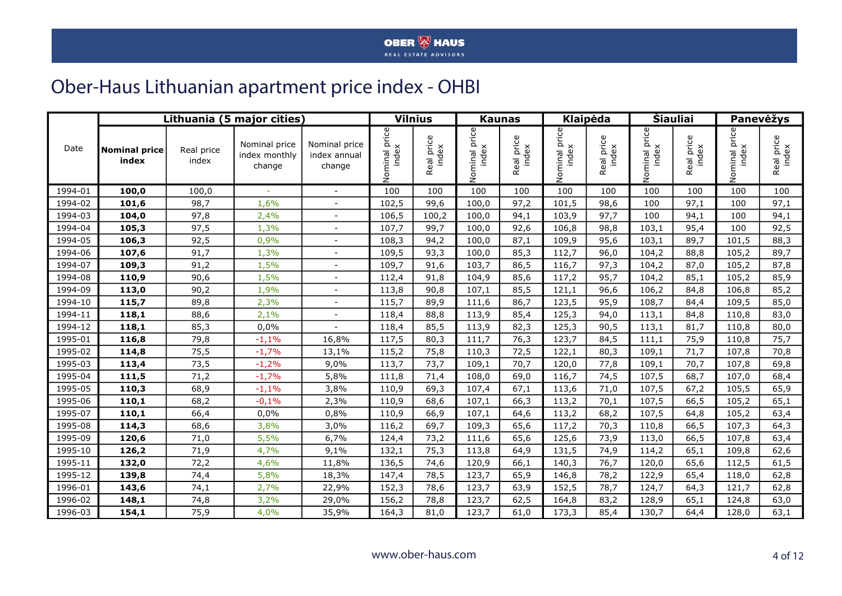#### Ober-Haus Lithuanian apartment price index - OHBI

|         |                               |                     | Lithuania (5 major cities)               |                                         |               | <b>Vilnius</b>      |                        | <b>Kaunas</b>       |                        | Klaipėda            |                             | <b>Siauliai</b>     |                                 | Panevėžys           |  |
|---------|-------------------------------|---------------------|------------------------------------------|-----------------------------------------|---------------|---------------------|------------------------|---------------------|------------------------|---------------------|-----------------------------|---------------------|---------------------------------|---------------------|--|
| Date    | <b>Nominal price</b><br>index | Real price<br>index | Nominal price<br>index monthly<br>change | Nominal price<br>index annual<br>change | Nominal price | Real price<br>index | Nominal price<br>index | Real price<br>index | Nominal price<br>index | Real price<br>index | price<br>Nominal p<br>index | Real price<br>index | minal price<br>index<br>5<br>No | Real price<br>index |  |
| 1994-01 | 100,0                         | 100,0               | ÷                                        | $\sim$                                  | 100           | 100                 | 100                    | 100                 | 100                    | 100                 | 100                         | 100                 | 100                             | 100                 |  |
| 1994-02 | 101,6                         | 98,7                | 1,6%                                     | $\overline{\phantom{a}}$                | 102,5         | 99,6                | 100,0                  | 97,2                | 101,5                  | 98,6                | 100                         | 97,1                | 100                             | 97,1                |  |
| 1994-03 | 104,0                         | 97,8                | 2,4%                                     |                                         | 106,5         | 100,2               | 100,0                  | 94,1                | 103,9                  | 97,7                | 100                         | 94,1                | 100                             | 94,1                |  |
| 1994-04 | 105,3                         | 97,5                | 1,3%                                     |                                         | 107,7         | 99,7                | 100,0                  | 92,6                | 106,8                  | 98,8                | 103,1                       | 95,4                | 100                             | 92,5                |  |
| 1994-05 | 106,3                         | 92,5                | 0,9%                                     | $\sim$                                  | 108,3         | 94,2                | 100,0                  | 87,1                | 109,9                  | 95,6                | 103,1                       | 89,7                | 101,5                           | 88,3                |  |
| 1994-06 | 107,6                         | 91,7                | 1,3%                                     | $\sim$                                  | 109,5         | 93,3                | 100,0                  | 85,3                | 112,7                  | 96,0                | 104,2                       | 88,8                | 105,2                           | 89,7                |  |
| 1994-07 | 109,3                         | 91,2                | 1,5%                                     |                                         | 109,7         | 91,6                | 103,7                  | 86,5                | 116,7                  | 97,3                | 104,2                       | 87,0                | 105,2                           | 87,8                |  |
| 1994-08 | 110,9                         | 90,6                | 1,5%                                     | $\sim$                                  | 112,4         | 91,8                | 104,9                  | 85,6                | 117,2                  | 95,7                | 104,2                       | 85,1                | 105,2                           | 85,9                |  |
| 1994-09 | 113,0                         | 90,2                | 1,9%                                     |                                         | 113,8         | 90,8                | 107,1                  | 85,5                | 121,1                  | 96,6                | 106,2                       | 84,8                | 106,8                           | 85,2                |  |
| 1994-10 | 115,7                         | 89,8                | 2,3%                                     |                                         | 115,7         | 89,9                | 111,6                  | 86,7                | 123,5                  | 95,9                | 108,7                       | 84,4                | 109,5                           | 85,0                |  |
| 1994-11 | 118,1                         | 88,6                | 2,1%                                     |                                         | 118,4         | 88,8                | 113,9                  | 85,4                | 125,3                  | 94,0                | 113,1                       | 84,8                | 110,8                           | 83,0                |  |
| 1994-12 | 118,1                         | 85,3                | 0,0%                                     | $\sim$                                  | 118,4         | 85,5                | 113,9                  | 82,3                | 125,3                  | 90,5                | 113,1                       | 81,7                | 110,8                           | 80,0                |  |
| 1995-01 | 116,8                         | 79,8                | $-1,1%$                                  | 16,8%                                   | 117,5         | 80,3                | 111,7                  | 76,3                | 123,7                  | 84,5                | 111,1                       | 75,9                | 110,8                           | 75,7                |  |
| 1995-02 | 114,8                         | 75,5                | $-1,7%$                                  | 13,1%                                   | 115,2         | 75,8                | 110,3                  | 72,5                | 122,1                  | 80,3                | 109,1                       | 71,7                | 107,8                           | 70,8                |  |
| 1995-03 | 113,4                         | 73,5                | $-1,2%$                                  | 9,0%                                    | 113,7         | 73,7                | 109,1                  | 70,7                | 120,0                  | 77,8                | 109,1                       | 70,7                | 107,8                           | 69,8                |  |
| 1995-04 | 111,5                         | 71,2                | $-1,7%$                                  | 5,8%                                    | 111,8         | 71,4                | 108,0                  | 69,0                | 116,7                  | 74,5                | 107,5                       | 68,7                | 107,0                           | 68,4                |  |
| 1995-05 | 110,3                         | 68,9                | $-1,1%$                                  | 3,8%                                    | 110,9         | 69,3                | 107,4                  | 67,1                | 113,6                  | 71,0                | 107,5                       | 67,2                | 105,5                           | 65,9                |  |
| 1995-06 | 110,1                         | 68,2                | $-0,1%$                                  | 2,3%                                    | 110,9         | 68,6                | 107,1                  | 66,3                | 113,2                  | 70,1                | 107,5                       | 66,5                | 105,2                           | 65,1                |  |
| 1995-07 | 110,1                         | 66,4                | 0,0%                                     | 0,8%                                    | 110,9         | 66,9                | 107,1                  | 64,6                | 113,2                  | 68,2                | 107,5                       | 64,8                | 105,2                           | 63,4                |  |
| 1995-08 | 114,3                         | 68,6                | 3,8%                                     | 3,0%                                    | 116,2         | 69,7                | 109,3                  | 65,6                | 117,2                  | 70,3                | 110,8                       | 66,5                | 107,3                           | 64,3                |  |
| 1995-09 | 120,6                         | 71,0                | 5,5%                                     | 6,7%                                    | 124,4         | 73,2                | 111,6                  | 65,6                | 125,6                  | 73,9                | 113,0                       | 66,5                | 107,8                           | 63,4                |  |
| 1995-10 | 126,2                         | 71,9                | 4,7%                                     | 9,1%                                    | 132,1         | 75,3                | 113,8                  | 64,9                | 131,5                  | 74,9                | 114,2                       | 65,1                | 109,8                           | 62,6                |  |
| 1995-11 | 132,0                         | 72,2                | 4,6%                                     | 11,8%                                   | 136,5         | 74,6                | 120,9                  | 66,1                | 140,3                  | 76,7                | 120,0                       | 65,6                | 112,5                           | 61,5                |  |
| 1995-12 | 139,8                         | 74,4                | 5,8%                                     | 18,3%                                   | 147,4         | 78,5                | 123,7                  | 65,9                | 146,8                  | 78,2                | 122,9                       | 65,4                | 118,0                           | 62,8                |  |
| 1996-01 | 143,6                         | 74,1                | 2,7%                                     | 22,9%                                   | 152,3         | 78,6                | 123,7                  | 63,9                | 152,5                  | 78,7                | 124,7                       | 64,3                | 121,7                           | 62,8                |  |
| 1996-02 | 148,1                         | 74,8                | 3,2%                                     | 29,0%                                   | 156,2         | 78,8                | 123,7                  | 62,5                | 164,8                  | 83,2                | 128,9                       | 65,1                | 124,8                           | 63,0                |  |
| 1996-03 | 154,1                         | 75,9                | 4,0%                                     | 35,9%                                   | 164,3         | 81,0                | 123,7                  | 61,0                | 173,3                  | 85,4                | 130,7                       | 64,4                | 128,0                           | 63,1                |  |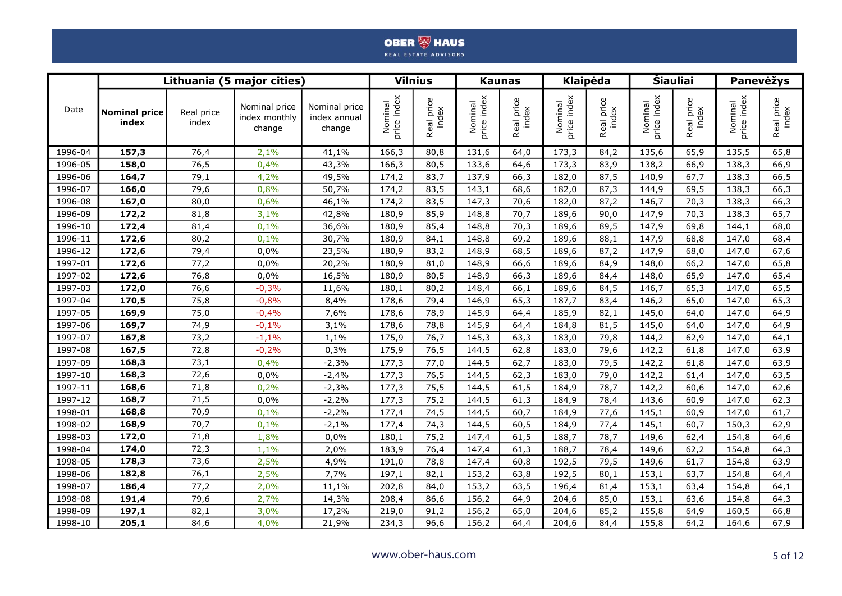|             |                               |                     | Lithuania (5 major cities)               |                                         | <b>Vilnius</b>         |                     |                        | <b>Kaunas</b>       |                                 | Klaipėda            | Šiauliai               |                     |                        | Panevėžys           |  |
|-------------|-------------------------------|---------------------|------------------------------------------|-----------------------------------------|------------------------|---------------------|------------------------|---------------------|---------------------------------|---------------------|------------------------|---------------------|------------------------|---------------------|--|
| Date        | <b>Nominal price</b><br>index | Real price<br>index | Nominal price<br>index monthly<br>change | Nominal price<br>index annual<br>change | Nominal<br>price index | Real price<br>index | price index<br>Nominal | Real price<br>index | Nominal<br>vrice index<br>price | Real price<br>index | Nominal<br>price index | Real price<br>index | Nominal<br>price index | Real price<br>index |  |
| 1996-04     | 157,3                         | 76,4                | 2,1%                                     | 41,1%                                   | 166,3                  | 80,8                | 131,6                  | 64,0                | 173,3                           | 84,2                | 135,6                  | 65,9                | 135,5                  | 65,8                |  |
| 1996-05     | 158,0                         | 76,5                | 0,4%                                     | 43,3%                                   | 166,3                  | 80,5                | 133,6                  | 64,6                | 173,3                           | 83,9                | 138,2                  | 66,9                | 138,3                  | 66,9                |  |
| 1996-06     | 164,7                         | 79,1                | 4,2%                                     | 49,5%                                   | 174,2                  | 83,7                | 137,9                  | 66,3                | 182,0                           | 87,5                | 140,9                  | 67,7                | 138,3                  | 66,5                |  |
| 1996-07     | 166,0                         | 79,6                | 0,8%                                     | 50,7%                                   | 174,2                  | 83,5                | 143,1                  | 68,6                | 182,0                           | 87,3                | 144,9                  | 69,5                | 138,3                  | 66,3                |  |
| 1996-08     | 167,0                         | 80,0                | 0,6%                                     | 46,1%                                   | 174,2                  | 83,5                | 147,3                  | 70,6                | 182,0                           | 87,2                | 146,7                  | 70,3                | 138,3                  | 66,3                |  |
| 1996-09     | 172,2                         | 81,8                | 3,1%                                     | 42,8%                                   | 180,9                  | 85,9                | 148,8                  | 70,7                | 189,6                           | 90,0                | 147,9                  | 70,3                | 138,3                  | 65,7                |  |
| 1996-10     | 172,4                         | 81,4                | 0,1%                                     | 36,6%                                   | 180,9                  | 85,4                | 148,8                  | 70,3                | 189,6                           | 89,5                | 147,9                  | 69,8                | 144,1                  | 68,0                |  |
| 1996-11     | 172,6                         | 80,2                | 0,1%                                     | 30,7%                                   | 180,9                  | 84,1                | 148,8                  | 69,2                | 189,6                           | 88,1                | 147,9                  | 68,8                | 147,0                  | 68,4                |  |
| 1996-12     | 172,6                         | 79,4                | 0,0%                                     | 23,5%                                   | 180,9                  | 83,2                | 148,9                  | 68,5                | 189,6                           | 87,2                | 147,9                  | 68,0                | 147,0                  | 67,6                |  |
| 1997-01     | 172,6                         | 77,2                | 0,0%                                     | 20,2%                                   | 180,9                  | 81,0                | 148,9                  | 66,6                | 189,6                           | 84,9                | 148,0                  | 66,2                | 147,0                  | 65,8                |  |
| 1997-02     | 172,6                         | 76,8                | 0,0%                                     | 16,5%                                   | 180,9                  | 80,5                | 148,9                  | 66,3                | 189,6                           | 84,4                | 148,0                  | 65,9                | 147,0                  | 65,4                |  |
| 1997-03     | 172,0                         | 76,6                | $-0,3%$                                  | 11,6%                                   | 180,1                  | 80,2                | 148,4                  | 66,1                | 189,6                           | 84,5                | 146,7                  | 65,3                | 147,0                  | 65,5                |  |
| 1997-04     | 170,5                         | 75,8                | $-0,8%$                                  | 8,4%                                    | 178,6                  | 79,4                | 146,9                  | 65,3                | 187,7                           | 83,4                | 146,2                  | 65,0                | 147,0                  | 65,3                |  |
| 1997-05     | 169,9                         | 75,0                | $-0,4%$                                  | 7,6%                                    | 178,6                  | 78,9                | 145,9                  | 64,4                | 185,9                           | 82,1                | 145,0                  | 64,0                | 147,0                  | 64,9                |  |
| 1997-06     | 169,7                         | 74,9                | $-0,1%$                                  | 3,1%                                    | 178,6                  | 78,8                | 145,9                  | 64,4                | 184,8                           | 81,5                | 145,0                  | 64,0                | 147,0                  | 64,9                |  |
| 1997-07     | 167,8                         | 73,2                | $-1,1%$                                  | 1,1%                                    | 175,9                  | 76,7                | 145,3                  | 63,3                | 183,0                           | 79,8                | 144,2                  | 62,9                | 147,0                  | 64,1                |  |
| 1997-08     | 167,5                         | 72,8                | $-0,2%$                                  | 0,3%                                    | 175,9                  | 76,5                | 144,5                  | 62,8                | 183,0                           | 79,6                | 142,2                  | 61,8                | 147,0                  | 63,9                |  |
| 1997-09     | 168,3                         | 73,1                | 0,4%                                     | $-2,3%$                                 | 177,3                  | 77,0                | 144,5                  | 62,7                | 183,0                           | 79,5                | 142,2                  | 61,8                | 147,0                  | 63,9                |  |
| 1997-10     | 168,3                         | 72,6                | 0,0%                                     | $-2,4%$                                 | 177,3                  | 76,5                | 144,5                  | 62,3                | 183,0                           | 79,0                | 142,2                  | 61,4                | 147,0                  | 63,5                |  |
| 1997-11     | 168,6                         | 71,8                | 0,2%                                     | $-2,3%$                                 | 177,3                  | 75,5                | 144,5                  | 61,5                | 184,9                           | 78,7                | 142,2                  | 60,6                | 147,0                  | 62,6                |  |
| 1997-12     | 168,7                         | 71,5                | 0,0%                                     | $-2,2%$                                 | 177,3                  | 75,2                | 144,5                  | 61,3                | 184,9                           | 78,4                | 143,6                  | 60,9                | 147,0                  | 62,3                |  |
| 1998-01     | 168,8                         | 70,9                | 0,1%                                     | $-2,2%$                                 | 177,4                  | 74,5                | 144,5                  | 60,7                | 184,9                           | 77,6                | 145,1                  | 60,9                | 147,0                  | 61,7                |  |
| 1998-02     | 168,9                         | 70,7                | 0,1%                                     | $-2,1%$                                 | 177,4                  | 74,3                | 144,5                  | 60,5                | 184,9                           | 77,4                | 145,1                  | 60,7                | 150,3                  | 62,9                |  |
| 1998-03     | 172,0                         | 71,8                | 1,8%                                     | 0,0%                                    | 180,1                  | 75,2                | 147,4                  | 61,5                | 188,7                           | 78,7                | 149,6                  | 62,4                | 154,8                  | 64,6                |  |
| 1998-04     | 174,0                         | 72,3                | 1,1%                                     | 2,0%                                    | 183,9                  | 76,4                | 147,4                  | 61,3                | 188,7                           | 78,4                | 149,6                  | 62,2                | 154,8                  | 64,3                |  |
| 1998-05     | 178,3                         | 73,6                | 2,5%                                     | 4,9%                                    | 191,0                  | 78,8                | 147,4                  | 60,8                | 192,5                           | 79,5                | 149,6                  | 61,7                | 154,8                  | 63,9                |  |
| 1998-06     | 182,8                         | 76,1                | 2,5%                                     | 7,7%                                    | 197,1                  | 82,1                | 153,2                  | 63,8                | 192,5                           | 80,1                | 153,1                  | 63,7                | 154,8                  | 64,4                |  |
| 1998-07     | 186,4                         | 77,2                | 2,0%                                     | 11,1%                                   | 202,8                  | 84,0                | 153,2                  | 63,5                | 196,4                           | 81,4                | 153,1                  | 63,4                | 154,8                  | 64,1                |  |
| 1998-08     | 191,4                         | 79,6                | 2,7%                                     | 14,3%                                   | 208,4                  | 86,6                | 156,2                  | 64,9                | 204,6                           | 85,0                | 153,1                  | 63,6                | 154,8                  | 64,3                |  |
| 1998-09     | 197,1                         | 82,1                | 3,0%                                     | 17,2%                                   | 219,0                  | 91,2                | 156,2                  | 65,0                | 204,6                           | 85,2                | 155,8                  | 64,9                | 160,5                  | 66,8                |  |
| $1998 - 10$ | 205,1                         | 84,6                | 4,0%                                     | 21,9%                                   | 234,3                  | 96,6                | 156,2                  | 64,4                | 204,6                           | 84,4                | 155,8                  | 64,2                | 164,6                  | 67,9                |  |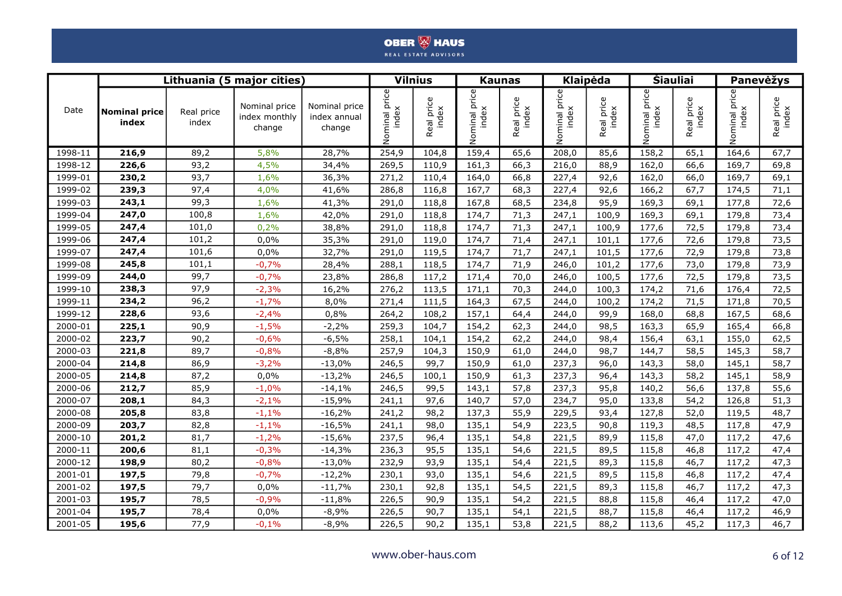|         |                               |                     | Lithuania (5 major cities)               |                                         | <b>Vilnius</b>     |                     |                        | <b>Kaunas</b>       |                           | Klaipėda          | <b>Šiauliai</b> |                     | Panevėžys              |                     |  |
|---------|-------------------------------|---------------------|------------------------------------------|-----------------------------------------|--------------------|---------------------|------------------------|---------------------|---------------------------|-------------------|-----------------|---------------------|------------------------|---------------------|--|
| Date    | <b>Nominal price</b><br>index | Real price<br>index | Nominal price<br>index monthly<br>change | Nominal price<br>index annual<br>change | u price<br>Nominal | Real price<br>index | Nominal price<br>index | Real price<br>index | price<br>index<br>Nominal | Real price<br>dex | Nominal price   | Real price<br>index | ninal price<br>Nominal | Real price<br>index |  |
| 1998-11 | 216,9                         | 89,2                | 5,8%                                     | 28,7%                                   | 254,9              | 104,8               | 159,4                  | 65,6                | 208,0                     | 85,6              | 158,2           | 65,1                | 164,6                  | 67,7                |  |
| 1998-12 | 226,6                         | 93,2                | 4,5%                                     | 34,4%                                   | 269,5              | 110,9               | 161,3                  | 66,3                | 216,0                     | 88,9              | 162,0           | 66,6                | 169,7                  | 69,8                |  |
| 1999-01 | 230,2                         | 93,7                | 1,6%                                     | 36,3%                                   | 271,2              | 110,4               | 164,0                  | 66,8                | 227,4                     | 92,6              | 162,0           | 66,0                | 169,7                  | 69,1                |  |
| 1999-02 | 239,3                         | 97,4                | 4,0%                                     | 41,6%                                   | 286,8              | 116,8               | 167,7                  | 68,3                | 227,4                     | 92,6              | 166,2           | 67,7                | 174,5                  | 71,1                |  |
| 1999-03 | 243,1                         | 99,3                | 1,6%                                     | 41,3%                                   | 291,0              | 118,8               | 167,8                  | 68,5                | 234,8                     | 95,9              | 169,3           | 69,1                | 177,8                  | 72,6                |  |
| 1999-04 | 247,0                         | 100,8               | 1,6%                                     | 42,0%                                   | 291,0              | 118,8               | 174,7                  | 71,3                | 247,1                     | 100,9             | 169,3           | 69,1                | 179,8                  | 73,4                |  |
| 1999-05 | 247,4                         | 101,0               | 0,2%                                     | 38,8%                                   | 291,0              | 118,8               | 174,7                  | 71,3                | 247,1                     | 100,9             | 177,6           | 72,5                | 179,8                  | 73,4                |  |
| 1999-06 | 247,4                         | 101,2               | 0,0%                                     | 35,3%                                   | 291,0              | 119,0               | 174,7                  | 71,4                | 247,1                     | 101,1             | 177,6           | 72,6                | 179,8                  | 73,5                |  |
| 1999-07 | 247,4                         | 101,6               | 0,0%                                     | 32,7%                                   | 291,0              | 119,5               | 174,7                  | 71,7                | 247,1                     | 101,5             | 177,6           | 72,9                | 179,8                  | 73,8                |  |
| 1999-08 | 245,8                         | 101,1               | $-0,7%$                                  | 28,4%                                   | 288,1              | 118,5               | 174,7                  | 71,9                | 246,0                     | 101,2             | 177,6           | 73,0                | 179,8                  | 73,9                |  |
| 1999-09 | 244,0                         | 99,7                | $-0,7%$                                  | 23,8%                                   | 286,8              | 117,2               | 171,4                  | 70,0                | 246,0                     | 100,5             | 177,6           | 72,5                | 179,8                  | 73,5                |  |
| 1999-10 | 238,3                         | 97,9                | $-2,3%$                                  | 16,2%                                   | 276,2              | 113,5               | 171,1                  | 70,3                | 244,0                     | 100,3             | 174,2           | 71,6                | 176,4                  | 72,5                |  |
| 1999-11 | 234,2                         | 96,2                | $-1,7%$                                  | 8,0%                                    | 271,4              | 111,5               | 164,3                  | 67,5                | 244,0                     | 100,2             | 174,2           | 71,5                | 171,8                  | 70,5                |  |
| 1999-12 | 228,6                         | 93,6                | $-2,4%$                                  | 0,8%                                    | 264,2              | 108,2               | 157,1                  | 64,4                | 244,0                     | 99,9              | 168,0           | 68,8                | 167,5                  | 68,6                |  |
| 2000-01 | 225,1                         | 90,9                | $-1,5%$                                  | $-2,2%$                                 | 259,3              | 104,7               | 154,2                  | 62,3                | 244,0                     | 98,5              | 163,3           | 65,9                | 165,4                  | 66,8                |  |
| 2000-02 | 223,7                         | 90,2                | $-0,6%$                                  | $-6,5%$                                 | 258,1              | 104,1               | 154,2                  | 62,2                | 244,0                     | 98,4              | 156,4           | 63,1                | 155,0                  | 62,5                |  |
| 2000-03 | 221,8                         | 89,7                | $-0,8%$                                  | $-8,8%$                                 | 257,9              | 104,3               | 150,9                  | 61,0                | 244,0                     | 98,7              | 144,7           | 58,5                | 145,3                  | 58,7                |  |
| 2000-04 | 214,8                         | 86,9                | $-3,2%$                                  | $-13,0%$                                | 246,5              | 99,7                | 150,9                  | 61,0                | 237,3                     | 96,0              | 143,3           | 58,0                | 145,1                  | 58,7                |  |
| 2000-05 | 214,8                         | 87,2                | 0,0%                                     | $-13,2%$                                | 246,5              | 100,1               | 150,9                  | 61,3                | 237,3                     | 96,4              | 143,3           | 58,2                | 145,1                  | 58,9                |  |
| 2000-06 | 212,7                         | 85,9                | $-1,0%$                                  | $-14,1%$                                | 246,5              | 99,5                | 143,1                  | 57,8                | 237,3                     | 95,8              | 140,2           | 56,6                | 137,8                  | 55,6                |  |
| 2000-07 | 208,1                         | 84,3                | $-2,1%$                                  | $-15,9%$                                | 241,1              | 97,6                | 140,7                  | 57,0                | 234,7                     | 95,0              | 133,8           | 54,2                | 126,8                  | 51,3                |  |
| 2000-08 | 205,8                         | 83,8                | $-1,1%$                                  | $-16,2%$                                | 241,2              | 98,2                | 137,3                  | 55,9                | 229,5                     | 93,4              | 127,8           | 52,0                | 119,5                  | 48,7                |  |
| 2000-09 | 203,7                         | 82,8                | $-1,1%$                                  | $-16,5%$                                | 241,1              | 98,0                | 135,1                  | 54,9                | 223,5                     | 90,8              | 119,3           | 48,5                | 117,8                  | 47,9                |  |
| 2000-10 | 201,2                         | 81,7                | $-1,2%$                                  | $-15,6%$                                | 237,5              | 96,4                | 135,1                  | 54,8                | 221,5                     | 89,9              | 115,8           | 47,0                | 117,2                  | 47,6                |  |
| 2000-11 | 200,6                         | 81,1                | $-0,3%$                                  | $-14,3%$                                | 236,3              | 95,5                | 135,1                  | 54,6                | 221,5                     | 89,5              | 115,8           | 46,8                | 117,2                  | 47,4                |  |
| 2000-12 | 198,9                         | 80,2                | $-0,8%$                                  | $-13,0%$                                | 232,9              | 93,9                | 135,1                  | 54,4                | 221,5                     | 89,3              | 115,8           | 46,7                | 117,2                  | 47,3                |  |
| 2001-01 | 197,5                         | 79,8                | $-0,7%$                                  | $-12,2%$                                | 230,1              | 93,0                | 135,1                  | 54,6                | 221,5                     | 89,5              | 115,8           | 46,8                | 117,2                  | 47,4                |  |
| 2001-02 | 197,5                         | 79,7                | 0,0%                                     | $-11,7%$                                | 230,1              | 92,8                | 135,1                  | 54,5                | 221,5                     | 89,3              | 115,8           | 46,7                | 117,2                  | 47,3                |  |
| 2001-03 | 195,7                         | 78,5                | $-0,9%$                                  | $-11,8%$                                | 226,5              | 90,9                | 135,1                  | 54,2                | 221,5                     | 88,8              | 115,8           | 46,4                | 117,2                  | 47,0                |  |
| 2001-04 | 195,7                         | 78,4                | 0,0%                                     | $-8,9%$                                 | 226,5              | 90,7                | 135,1                  | 54,1                | 221,5                     | 88,7              | 115,8           | 46,4                | 117,2                  | 46,9                |  |
| 2001-05 | 195,6                         | 77,9                | $-0,1%$                                  | $-8,9%$                                 | 226,5              | 90,2                | 135,1                  | 53,8                | 221,5                     | 88,2              | 113,6           | 45,2                | 117,3                  | 46,7                |  |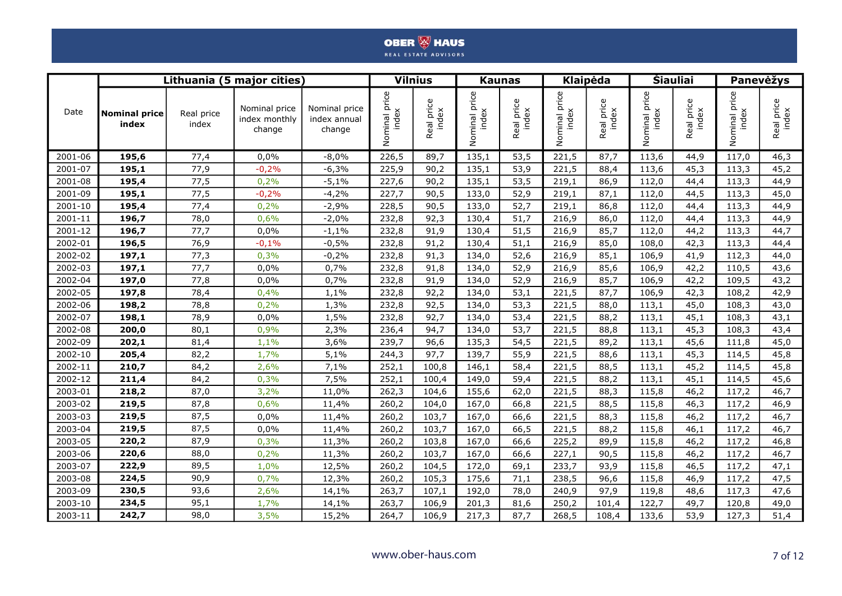|         |                               |                     | Lithuania (5 major cities)               |                                         |               | <b>Vilnius</b>      |                           | <b>Kaunas</b>       |                              | Klaipėda            | <b>Šiauliai</b>           |                     |                                 | Panevėžys           |  |
|---------|-------------------------------|---------------------|------------------------------------------|-----------------------------------------|---------------|---------------------|---------------------------|---------------------|------------------------------|---------------------|---------------------------|---------------------|---------------------------------|---------------------|--|
| Date    | <b>Nominal price</b><br>index | Real price<br>index | Nominal price<br>index monthly<br>change | Nominal price<br>index annual<br>change | Nominal price | Real price<br>index | price<br>index<br>Nominal | Real price<br>index | price<br>Nominal pi<br>index | Real price<br>index | price<br>index<br>Nominal | Real price<br>index | ninal price<br>index<br>Nominal | Real price<br>index |  |
| 2001-06 | 195,6                         | 77,4                | 0,0%                                     | $-8,0%$                                 | 226,5         | 89,7                | 135,1                     | 53,5                | 221,5                        | 87,7                | 113,6                     | 44,9                | 117,0                           | 46,3                |  |
| 2001-07 | 195,1                         | 77,9                | $-0,2%$                                  | $-6,3%$                                 | 225,9         | 90,2                | 135,1                     | 53,9                | 221,5                        | 88,4                | 113,6                     | 45,3                | 113,3                           | 45,2                |  |
| 2001-08 | 195,4                         | 77,5                | 0,2%                                     | $-5,1%$                                 | 227,6         | 90,2                | 135,1                     | 53,5                | 219,1                        | 86,9                | 112,0                     | 44,4                | 113,3                           | 44,9                |  |
| 2001-09 | 195,1                         | 77,5                | $-0,2%$                                  | $-4,2%$                                 | 227,7         | 90,5                | 133,0                     | 52,9                | 219,1                        | 87,1                | 112,0                     | 44,5                | 113,3                           | 45,0                |  |
| 2001-10 | 195,4                         | 77,4                | 0,2%                                     | $-2,9%$                                 | 228,5         | 90,5                | 133,0                     | 52,7                | 219,1                        | 86,8                | 112,0                     | 44,4                | 113,3                           | 44,9                |  |
| 2001-11 | 196,7                         | 78,0                | 0,6%                                     | $-2,0%$                                 | 232,8         | 92,3                | 130,4                     | 51,7                | 216,9                        | 86,0                | 112,0                     | 44,4                | 113,3                           | 44,9                |  |
| 2001-12 | 196,7                         | 77,7                | 0,0%                                     | $-1,1%$                                 | 232,8         | 91,9                | 130,4                     | 51,5                | 216,9                        | 85,7                | 112,0                     | 44,2                | 113,3                           | 44,7                |  |
| 2002-01 | 196,5                         | 76,9                | $-0,1%$                                  | $-0,5%$                                 | 232,8         | 91,2                | 130,4                     | 51,1                | 216,9                        | 85,0                | 108,0                     | 42,3                | 113,3                           | 44,4                |  |
| 2002-02 | 197,1                         | 77,3                | 0,3%                                     | $-0,2%$                                 | 232,8         | 91,3                | 134,0                     | 52,6                | 216,9                        | 85,1                | 106,9                     | 41,9                | 112,3                           | 44,0                |  |
| 2002-03 | 197,1                         | 77,7                | 0,0%                                     | 0,7%                                    | 232,8         | 91,8                | 134,0                     | 52,9                | 216,9                        | 85,6                | 106,9                     | 42,2                | 110,5                           | 43,6                |  |
| 2002-04 | 197,0                         | 77,8                | 0,0%                                     | 0,7%                                    | 232,8         | 91,9                | 134,0                     | 52,9                | 216,9                        | 85,7                | 106,9                     | 42,2                | 109,5                           | 43,2                |  |
| 2002-05 | 197,8                         | 78,4                | 0,4%                                     | 1,1%                                    | 232,8         | 92,2                | 134,0                     | 53,1                | 221,5                        | 87,7                | 106,9                     | 42,3                | 108,2                           | 42,9                |  |
| 2002-06 | 198,2                         | 78,8                | 0,2%                                     | 1,3%                                    | 232,8         | 92,5                | 134,0                     | 53,3                | 221,5                        | 88,0                | 113,1                     | 45,0                | 108,3                           | 43,0                |  |
| 2002-07 | 198,1                         | 78,9                | 0,0%                                     | 1,5%                                    | 232,8         | 92,7                | 134,0                     | 53,4                | 221,5                        | 88,2                | 113,1                     | 45,1                | 108,3                           | 43,1                |  |
| 2002-08 | 200,0                         | 80,1                | 0,9%                                     | 2,3%                                    | 236,4         | 94,7                | 134,0                     | 53,7                | 221,5                        | 88,8                | 113,1                     | 45,3                | 108,3                           | 43,4                |  |
| 2002-09 | 202,1                         | 81,4                | 1,1%                                     | 3,6%                                    | 239,7         | 96,6                | 135,3                     | 54,5                | 221,5                        | 89,2                | 113,1                     | 45,6                | 111,8                           | 45,0                |  |
| 2002-10 | 205,4                         | 82,2                | 1,7%                                     | 5,1%                                    | 244,3         | 97,7                | 139,7                     | 55,9                | 221,5                        | 88,6                | 113,1                     | 45,3                | 114,5                           | 45,8                |  |
| 2002-11 | 210,7                         | 84,2                | 2,6%                                     | 7,1%                                    | 252,1         | 100,8               | 146,1                     | 58,4                | 221,5                        | 88,5                | 113,1                     | 45,2                | 114,5                           | 45,8                |  |
| 2002-12 | 211,4                         | 84,2                | 0,3%                                     | 7,5%                                    | 252,1         | 100,4               | 149,0                     | 59,4                | 221,5                        | 88,2                | 113,1                     | 45,1                | 114,5                           | 45,6                |  |
| 2003-01 | 218,2                         | 87,0                | 3,2%                                     | 11,0%                                   | 262,3         | 104,6               | 155,6                     | 62,0                | 221,5                        | 88,3                | 115,8                     | 46,2                | 117,2                           | 46,7                |  |
| 2003-02 | 219,5                         | 87,8                | 0,6%                                     | 11,4%                                   | 260,2         | 104,0               | 167,0                     | 66,8                | 221,5                        | 88,5                | 115,8                     | 46,3                | 117,2                           | 46,9                |  |
| 2003-03 | 219,5                         | 87,5                | 0,0%                                     | 11,4%                                   | 260,2         | 103,7               | 167,0                     | 66,6                | 221,5                        | 88,3                | 115,8                     | 46,2                | 117,2                           | 46,7                |  |
| 2003-04 | 219,5                         | 87,5                | 0,0%                                     | 11,4%                                   | 260,2         | 103,7               | 167,0                     | 66,5                | 221,5                        | 88,2                | 115,8                     | 46,1                | 117,2                           | 46,7                |  |
| 2003-05 | 220,2                         | 87,9                | 0,3%                                     | 11,3%                                   | 260,2         | 103,8               | 167,0                     | 66,6                | 225,2                        | 89,9                | 115,8                     | 46,2                | 117,2                           | 46,8                |  |
| 2003-06 | 220,6                         | 88,0                | 0,2%                                     | 11,3%                                   | 260,2         | 103,7               | 167,0                     | 66,6                | 227,1                        | 90,5                | 115,8                     | 46,2                | 117,2                           | 46,7                |  |
| 2003-07 | 222,9                         | 89,5                | 1,0%                                     | 12,5%                                   | 260,2         | 104,5               | 172,0                     | 69,1                | 233,7                        | 93,9                | 115,8                     | 46,5                | 117,2                           | 47,1                |  |
| 2003-08 | 224,5                         | 90,9                | 0,7%                                     | 12,3%                                   | 260,2         | 105,3               | 175,6                     | 71,1                | 238,5                        | 96,6                | 115,8                     | 46,9                | 117,2                           | 47,5                |  |
| 2003-09 | 230,5                         | 93,6                | 2,6%                                     | 14,1%                                   | 263,7         | 107,1               | 192,0                     | 78,0                | 240,9                        | 97,9                | 119,8                     | 48,6                | 117,3                           | 47,6                |  |
| 2003-10 | 234,5                         | 95,1                | 1,7%                                     | 14,1%                                   | 263,7         | 106,9               | 201,3                     | 81,6                | 250,2                        | 101,4               | 122,7                     | 49,7                | 120,8                           | 49,0                |  |
| 2003-11 | 242,7                         | 98,0                | 3,5%                                     | 15,2%                                   | 264,7         | 106,9               | 217,3                     | 87,7                | 268,5                        | 108,4               | 133,6                     | 53,9                | 127,3                           | 51,4                |  |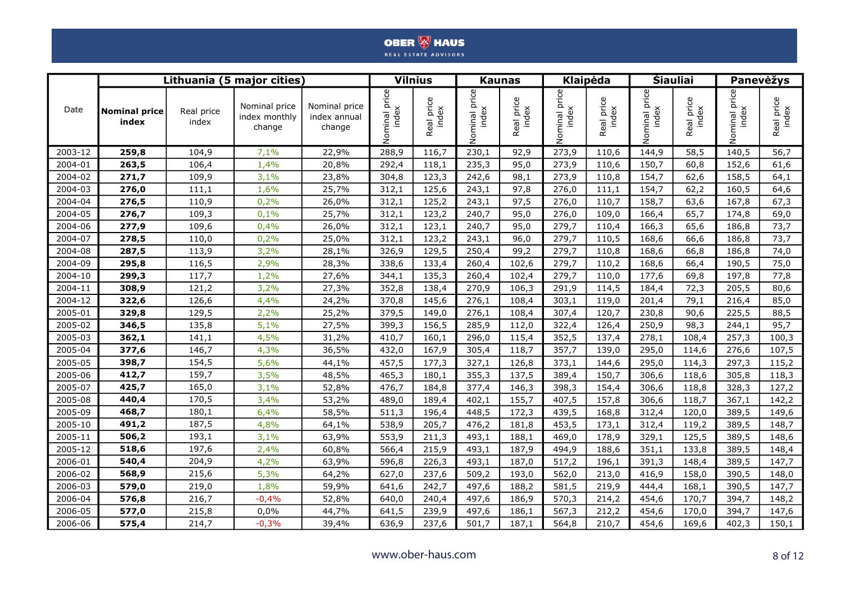|         |                               |                     | Lithuania (5 major cities)               |                                         |                    | <b>Vilnius</b>      |                           | <b>Kaunas</b>       |                           | Klaipėda                   |                           | <b>Šiauliai</b>     |                           | Panevėžys           |  |
|---------|-------------------------------|---------------------|------------------------------------------|-----------------------------------------|--------------------|---------------------|---------------------------|---------------------|---------------------------|----------------------------|---------------------------|---------------------|---------------------------|---------------------|--|
| Date    | <b>Nominal price</b><br>index | Real price<br>index | Nominal price<br>index monthly<br>change | Nominal price<br>index annual<br>change | u price<br>Nominal | Real price<br>index | price<br>index<br>Nominal | Real price<br>index | price<br>index<br>Nominal | eal price<br>index<br>Real | price<br>index<br>Nominal | Real price<br>index | price<br>index<br>Nominal | Real price<br>index |  |
| 2003-12 | 259,8                         | 104,9               | 7,1%                                     | 22,9%                                   | 288,9              | 116,7               | 230,1                     | 92,9                | 273,9                     | 110,6                      | 144,9                     | 58,5                | 140,5                     | 56,7                |  |
| 2004-01 | 263,5                         | 106,4               | 1,4%                                     | 20,8%                                   | 292,4              | 118,1               | 235,3                     | 95,0                | 273,9                     | 110,6                      | 150,7                     | 60,8                | 152,6                     | 61,6                |  |
| 2004-02 | 271,7                         | 109,9               | 3,1%                                     | 23,8%                                   | 304,8              | 123,3               | 242,6                     | 98,1                | 273,9                     | 110,8                      | 154,7                     | 62,6                | 158,5                     | 64,1                |  |
| 2004-03 | 276,0                         | 111,1               | 1,6%                                     | 25,7%                                   | 312,1              | 125,6               | 243,1                     | 97,8                | 276,0                     | 111,1                      | 154,7                     | 62,2                | 160,5                     | 64,6                |  |
| 2004-04 | 276,5                         | 110,9               | 0,2%                                     | 26,0%                                   | 312,1              | 125,2               | 243,1                     | 97,5                | 276,0                     | 110,7                      | 158,7                     | 63,6                | 167,8                     | 67,3                |  |
| 2004-05 | 276,7                         | 109,3               | 0,1%                                     | 25,7%                                   | 312,1              | 123,2               | 240,7                     | 95,0                | 276,0                     | 109,0                      | 166,4                     | 65,7                | 174,8                     | 69,0                |  |
| 2004-06 | 277,9                         | 109,6               | 0,4%                                     | 26,0%                                   | 312,1              | 123,1               | 240,7                     | 95,0                | 279,7                     | 110,4                      | 166,3                     | 65,6                | 186,8                     | 73,7                |  |
| 2004-07 | 278,5                         | 110,0               | 0,2%                                     | 25,0%                                   | 312,1              | 123,2               | 243,1                     | 96,0                | 279,7                     | 110,5                      | 168,6                     | 66,6                | 186,8                     | 73,7                |  |
| 2004-08 | 287,5                         | 113,9               | 3,2%                                     | 28,1%                                   | 326,9              | 129,5               | 250,4                     | 99,2                | 279,7                     | 110,8                      | 168,6                     | 66,8                | 186,8                     | 74,0                |  |
| 2004-09 | 295,8                         | 116,5               | 2,9%                                     | 28,3%                                   | 338,6              | 133,4               | 260,4                     | 102,6               | 279,7                     | 110,2                      | 168,6                     | 66,4                | 190,5                     | 75,0                |  |
| 2004-10 | 299,3                         | 117,7               | 1,2%                                     | 27,6%                                   | 344,1              | 135,3               | 260,4                     | 102,4               | 279,7                     | 110,0                      | 177,6                     | 69,8                | 197,8                     | 77,8                |  |
| 2004-11 | 308,9                         | 121,2               | 3,2%                                     | 27,3%                                   | 352,8              | 138,4               | 270,9                     | 106,3               | 291,9                     | 114,5                      | 184,4                     | 72,3                | 205,5                     | 80,6                |  |
| 2004-12 | 322,6                         | 126,6               | 4,4%                                     | 24,2%                                   | 370,8              | 145,6               | 276,1                     | 108,4               | 303,1                     | 119,0                      | 201,4                     | 79,1                | 216,4                     | 85,0                |  |
| 2005-01 | 329,8                         | 129,5               | 2,2%                                     | 25,2%                                   | 379,5              | 149,0               | 276,1                     | 108,4               | 307,4                     | 120,7                      | 230,8                     | 90,6                | 225,5                     | 88,5                |  |
| 2005-02 | 346,5                         | 135,8               | 5,1%                                     | 27,5%                                   | 399,3              | 156,5               | 285,9                     | 112,0               | 322,4                     | 126,4                      | 250,9                     | 98,3                | 244,1                     | 95,7                |  |
| 2005-03 | 362,1                         | 141,1               | 4,5%                                     | 31,2%                                   | 410,7              | 160,1               | 296,0                     | 115,4               | 352,5                     | 137,4                      | 278,1                     | 108,4               | 257,3                     | 100,3               |  |
| 2005-04 | 377,6                         | 146,7               | 4,3%                                     | 36,5%                                   | 432,0              | 167,9               | 305,4                     | 118,7               | 357,7                     | 139,0                      | 295,0                     | 114,6               | 276,6                     | 107,5               |  |
| 2005-05 | 398,7                         | 154,5               | 5,6%                                     | 44,1%                                   | 457,5              | 177,3               | 327,1                     | 126,8               | 373,1                     | 144,6                      | 295,0                     | 114,3               | 297,3                     | 115,2               |  |
| 2005-06 | 412,7                         | 159,7               | 3,5%                                     | 48,5%                                   | 465,3              | 180,1               | 355,3                     | 137,5               | 389,4                     | 150,7                      | 306,6                     | 118,6               | 305,8                     | 118,3               |  |
| 2005-07 | 425,7                         | 165,0               | 3,1%                                     | 52,8%                                   | 476,7              | 184,8               | 377,4                     | 146,3               | 398,3                     | 154,4                      | 306,6                     | 118,8               | 328,3                     | 127,2               |  |
| 2005-08 | 440,4                         | 170,5               | 3,4%                                     | 53,2%                                   | 489,0              | 189,4               | 402,1                     | 155,7               | 407,5                     | 157,8                      | 306,6                     | 118,7               | 367,1                     | 142,2               |  |
| 2005-09 | 468,7                         | 180,1               | 6,4%                                     | 58,5%                                   | 511,3              | 196,4               | 448,5                     | 172,3               | 439,5                     | 168,8                      | 312,4                     | 120,0               | 389,5                     | 149,6               |  |
| 2005-10 | 491,2                         | 187,5               | 4,8%                                     | 64,1%                                   | 538,9              | 205,7               | 476,2                     | 181,8               | 453,5                     | 173,1                      | 312,4                     | 119,2               | 389,5                     | 148,7               |  |
| 2005-11 | 506,2                         | 193,1               | 3,1%                                     | 63,9%                                   | 553,9              | 211,3               | 493,1                     | 188,1               | 469,0                     | 178,9                      | 329,1                     | 125,5               | 389,5                     | 148,6               |  |
| 2005-12 | 518,6                         | 197,6               | 2,4%                                     | 60,8%                                   | 566,4              | 215,9               | 493,1                     | 187,9               | 494,9                     | 188,6                      | 351,1                     | 133,8               | 389,5                     | 148,4               |  |
| 2006-01 | 540,4                         | 204,9               | 4,2%                                     | 63,9%                                   | 596,8              | 226,3               | 493,1                     | 187,0               | 517,2                     | 196,1                      | 391,3                     | 148,4               | 389,5                     | 147,7               |  |
| 2006-02 | 568,9                         | 215,6               | 5,3%                                     | 64,2%                                   | 627,0              | 237,6               | 509,2                     | 193,0               | 562,0                     | 213,0                      | 416,9                     | 158,0               | 390,5                     | 148,0               |  |
| 2006-03 | 579,0                         | 219,0               | 1,8%                                     | 59,9%                                   | 641,6              | 242,7               | 497,6                     | 188,2               | 581,5                     | 219,9                      | 444,4                     | 168,1               | 390,5                     | 147,7               |  |
| 2006-04 | 576,8                         | 216,7               | $-0,4%$                                  | 52,8%                                   | 640,0              | 240,4               | 497,6                     | 186,9               | 570,3                     | 214,2                      | 454,6                     | 170,7               | 394,7                     | 148,2               |  |
| 2006-05 | 577,0                         | 215,8               | 0,0%                                     | 44,7%                                   | 641,5              | 239,9               | 497,6                     | 186,1               | 567,3                     | 212,2                      | 454,6                     | 170,0               | 394,7                     | 147,6               |  |
| 2006-06 | 575,4                         | 214,7               | $-0,3%$                                  | 39,4%                                   | 636,9              | 237,6               | 501,7                     | 187,1               | 564,8                     | 210,7                      | 454,6                     | 169,6               | 402,3                     | 150,1               |  |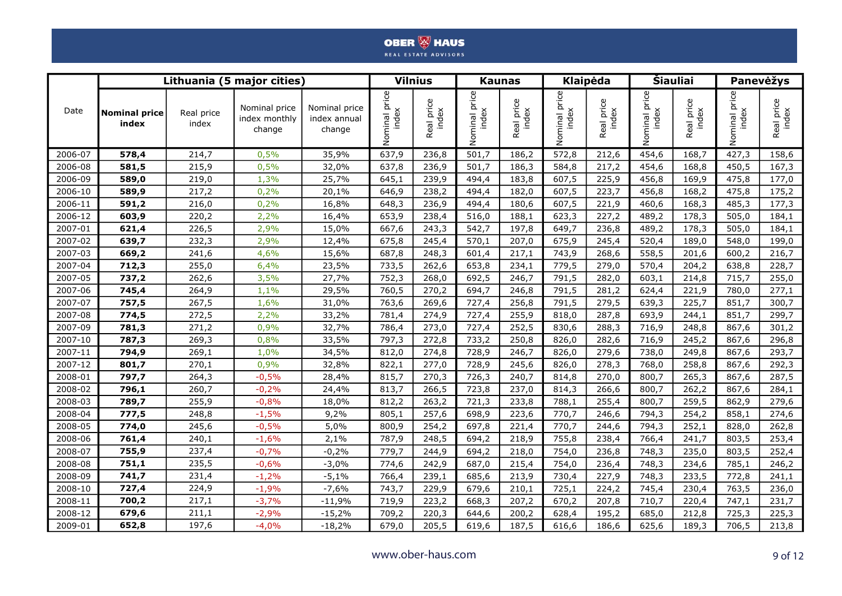|         |                               |                     | Lithuania (5 major cities)               |                                         |                     | <b>Vilnius</b>      |                           | <b>Kaunas</b>       |                           | <b>Klaipėda</b>     |               | <b>Šiauliai</b>     |                        | Panevėžys           |  |
|---------|-------------------------------|---------------------|------------------------------------------|-----------------------------------------|---------------------|---------------------|---------------------------|---------------------|---------------------------|---------------------|---------------|---------------------|------------------------|---------------------|--|
| Date    | <b>Nominal price</b><br>index | Real price<br>index | Nominal price<br>index monthly<br>change | Nominal price<br>index annual<br>change | al price<br>Nominal | Real price<br>index | price<br>index<br>Nominal | Real price<br>index | price<br>Nominal<br>jebul | Real price<br>index | Nominal price | Real price<br>index | ninal price<br>Nominal | Real price<br>index |  |
| 2006-07 | 578,4                         | 214,7               | 0,5%                                     | 35,9%                                   | 637,9               | 236,8               | 501,7                     | 186,2               | 572,8                     | 212,6               | 454,6         | 168,7               | 427,3                  | 158,6               |  |
| 2006-08 | 581,5                         | 215,9               | 0,5%                                     | 32,0%                                   | 637,8               | 236,9               | 501,7                     | 186,3               | 584,8                     | 217,2               | 454,6         | 168,8               | 450,5                  | 167,3               |  |
| 2006-09 | 589,0                         | 219,0               | 1,3%                                     | 25,7%                                   | 645,1               | 239,9               | 494,4                     | 183,8               | 607,5                     | 225,9               | 456,8         | 169,9               | 475,8                  | 177,0               |  |
| 2006-10 | 589,9                         | 217,2               | 0,2%                                     | 20,1%                                   | 646,9               | 238,2               | 494,4                     | 182,0               | 607,5                     | 223,7               | 456,8         | 168,2               | 475,8                  | 175,2               |  |
| 2006-11 | 591,2                         | 216,0               | 0,2%                                     | 16,8%                                   | 648,3               | 236,9               | 494,4                     | 180,6               | 607,5                     | 221,9               | 460,6         | 168,3               | 485,3                  | 177,3               |  |
| 2006-12 | 603,9                         | 220,2               | 2,2%                                     | 16,4%                                   | 653,9               | 238,4               | 516,0                     | 188,1               | 623,3                     | 227,2               | 489,2         | 178,3               | 505,0                  | 184,1               |  |
| 2007-01 | 621,4                         | 226,5               | 2,9%                                     | 15,0%                                   | 667,6               | 243,3               | 542,7                     | 197,8               | 649,7                     | 236,8               | 489,2         | 178,3               | 505,0                  | 184,1               |  |
| 2007-02 | 639,7                         | 232,3               | 2,9%                                     | 12,4%                                   | 675,8               | 245,4               | 570,1                     | 207,0               | 675,9                     | 245,4               | 520,4         | 189,0               | 548,0                  | 199,0               |  |
| 2007-03 | 669,2                         | 241,6               | 4,6%                                     | 15,6%                                   | 687,8               | 248,3               | 601,4                     | 217,1               | 743,9                     | 268,6               | 558,5         | 201,6               | 600,2                  | 216,7               |  |
| 2007-04 | 712,3                         | 255,0               | 6,4%                                     | 23,5%                                   | 733,5               | 262,6               | 653,8                     | 234,1               | 779,5                     | 279,0               | 570,4         | 204,2               | 638,8                  | 228,7               |  |
| 2007-05 | 737,2                         | 262,6               | 3,5%                                     | 27,7%                                   | 752,3               | 268,0               | 692,5                     | 246,7               | 791,5                     | 282,0               | 603,1         | 214,8               | 715,7                  | 255,0               |  |
| 2007-06 | 745,4                         | 264,9               | 1,1%                                     | 29,5%                                   | 760,5               | 270,2               | 694,7                     | 246,8               | 791,5                     | 281,2               | 624,4         | 221,9               | 780,0                  | 277,1               |  |
| 2007-07 | 757,5                         | 267,5               | 1,6%                                     | 31,0%                                   | 763,6               | 269,6               | 727,4                     | 256,8               | 791,5                     | 279,5               | 639,3         | 225,7               | 851,7                  | 300,7               |  |
| 2007-08 | 774,5                         | 272,5               | 2,2%                                     | 33,2%                                   | 781,4               | 274,9               | 727,4                     | 255,9               | 818,0                     | 287,8               | 693,9         | 244,1               | 851,7                  | 299,7               |  |
| 2007-09 | 781,3                         | 271,2               | 0,9%                                     | 32,7%                                   | 786,4               | 273,0               | 727,4                     | 252,5               | 830,6                     | 288,3               | 716,9         | 248,8               | 867,6                  | 301,2               |  |
| 2007-10 | 787,3                         | 269,3               | 0,8%                                     | 33,5%                                   | 797,3               | 272,8               | 733,2                     | 250,8               | 826,0                     | 282,6               | 716,9         | 245,2               | 867,6                  | 296,8               |  |
| 2007-11 | 794,9                         | 269,1               | 1,0%                                     | 34,5%                                   | 812,0               | 274,8               | 728,9                     | 246,7               | 826,0                     | 279,6               | 738,0         | 249,8               | 867,6                  | 293,7               |  |
| 2007-12 | 801,7                         | 270,1               | 0,9%                                     | 32,8%                                   | 822,1               | 277,0               | 728,9                     | 245,6               | 826,0                     | 278,3               | 768,0         | 258,8               | 867,6                  | 292,3               |  |
| 2008-01 | 797,7                         | 264,3               | $-0,5%$                                  | 28,4%                                   | 815,7               | 270,3               | 726,3                     | 240,7               | 814,8                     | 270,0               | 800,7         | 265,3               | 867,6                  | 287,5               |  |
| 2008-02 | 796,1                         | 260,7               | $-0,2%$                                  | 24,4%                                   | 813,7               | 266,5               | 723,8                     | 237,0               | 814,3                     | 266,6               | 800,7         | 262,2               | 867,6                  | 284,1               |  |
| 2008-03 | 789,7                         | 255,9               | $-0,8%$                                  | 18,0%                                   | 812,2               | 263,2               | 721,3                     | 233,8               | 788,1                     | 255,4               | 800,7         | 259,5               | 862,9                  | 279,6               |  |
| 2008-04 | 777,5                         | 248,8               | $-1,5%$                                  | 9,2%                                    | 805,1               | 257,6               | 698,9                     | 223,6               | 770,7                     | 246,6               | 794,3         | 254,2               | 858,1                  | 274,6               |  |
| 2008-05 | 774,0                         | 245,6               | $-0,5%$                                  | 5,0%                                    | 800,9               | 254,2               | 697,8                     | 221,4               | 770,7                     | 244,6               | 794,3         | 252,1               | 828,0                  | 262,8               |  |
| 2008-06 | 761,4                         | 240,1               | $-1,6%$                                  | 2,1%                                    | 787,9               | 248,5               | 694,2                     | 218,9               | 755,8                     | 238,4               | 766,4         | 241,7               | 803,5                  | 253,4               |  |
| 2008-07 | 755,9                         | 237,4               | $-0,7%$                                  | $-0,2%$                                 | 779,7               | 244,9               | 694,2                     | 218,0               | 754,0                     | 236,8               | 748,3         | 235,0               | 803,5                  | 252,4               |  |
| 2008-08 | 751,1                         | 235,5               | $-0,6%$                                  | $-3,0%$                                 | 774,6               | 242,9               | 687,0                     | 215,4               | 754,0                     | 236,4               | 748,3         | 234,6               | 785,1                  | 246,2               |  |
| 2008-09 | 741,7                         | 231,4               | $-1,2%$                                  | $-5,1%$                                 | 766,4               | 239,1               | 685,6                     | 213,9               | 730,4                     | 227,9               | 748,3         | 233,5               | 772,8                  | 241,1               |  |
| 2008-10 | 727,4                         | 224,9               | $-1,9%$                                  | $-7,6%$                                 | 743,7               | 229,9               | 679,6                     | 210,1               | 725,1                     | 224,2               | 745,4         | 230,4               | 763,5                  | 236,0               |  |
| 2008-11 | 700,2                         | 217,1               | $-3,7%$                                  | $-11,9%$                                | 719,9               | 223,2               | 668,3                     | 207,2               | 670,2                     | 207,8               | 710,7         | 220,4               | 747,1                  | 231,7               |  |
| 2008-12 | 679,6                         | 211,1               | $-2,9%$                                  | $-15,2%$                                | 709,2               | 220,3               | 644,6                     | 200,2               | 628,4                     | 195,2               | 685,0         | 212,8               | 725,3                  | 225,3               |  |
| 2009-01 | 652,8                         | 197,6               | $-4,0%$                                  | $-18,2%$                                | 679,0               | 205,5               | 619,6                     | 187,5               | 616,6                     | 186,6               | 625,6         | 189,3               | 706,5                  | 213,8               |  |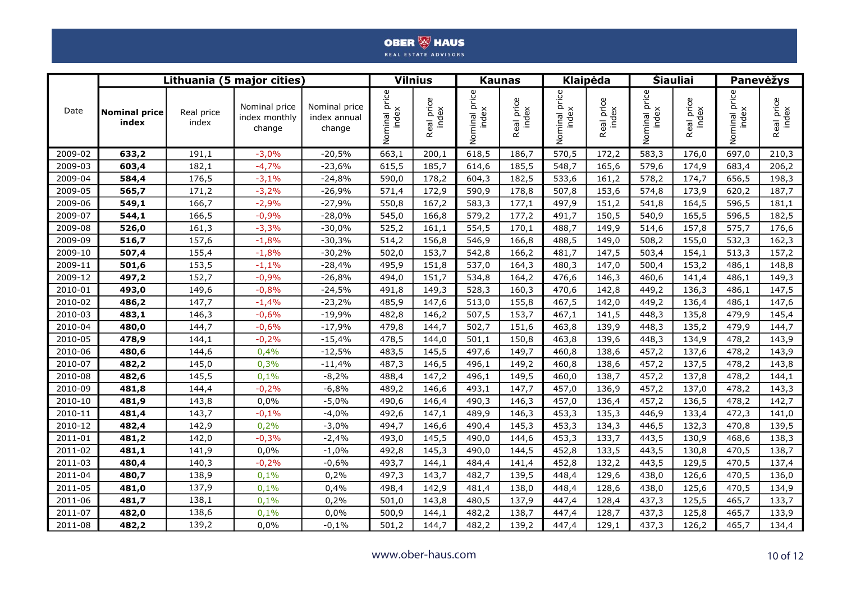|         |                               |                     | Lithuania (5 major cities)               |                                         | <b>Vilnius</b> |                     |               | <b>Kaunas</b>       |                     | Klaipėda                   |               | <b>Šiauliai</b>     |                     | Panevėžys           |  |
|---------|-------------------------------|---------------------|------------------------------------------|-----------------------------------------|----------------|---------------------|---------------|---------------------|---------------------|----------------------------|---------------|---------------------|---------------------|---------------------|--|
| Date    | <b>Nominal price</b><br>index | Real price<br>index | Nominal price<br>index monthly<br>change | Nominal price<br>index annual<br>change | Nominal price  | Real price<br>index | Nominal price | Real price<br>index | al price<br>Nominal | aal price<br>index<br>Real | Nominal price | Real price<br>index | al price<br>Nominal | Real price<br>index |  |
| 2009-02 | 633,2                         | 191,1               | $-3,0%$                                  | $-20,5%$                                | 663,1          | 200,1               | 618,5         | 186,7               | 570,5               | 172,2                      | 583,3         | 176,0               | 697,0               | 210,3               |  |
| 2009-03 | 603,4                         | 182,1               | $-4,7%$                                  | $-23,6%$                                | 615,5          | 185,7               | 614,6         | 185,5               | 548,7               | 165,6                      | 579,6         | 174,9               | 683,4               | 206,2               |  |
| 2009-04 | 584,4                         | 176,5               | $-3,1%$                                  | $-24,8%$                                | 590,0          | 178,2               | 604,3         | 182,5               | 533,6               | 161,2                      | 578,2         | 174,7               | 656,5               | 198,3               |  |
| 2009-05 | 565,7                         | 171,2               | $-3,2%$                                  | $-26,9%$                                | 571,4          | 172,9               | 590,9         | 178,8               | 507,8               | 153,6                      | 574,8         | 173,9               | 620,2               | 187,7               |  |
| 2009-06 | 549,1                         | 166,7               | $-2,9%$                                  | $-27,9%$                                | 550,8          | 167,2               | 583,3         | 177,1               | 497,9               | 151,2                      | 541,8         | 164,5               | 596,5               | 181,1               |  |
| 2009-07 | 544,1                         | 166,5               | $-0,9%$                                  | $-28,0%$                                | 545,0          | 166,8               | 579,2         | 177,2               | 491,7               | 150,5                      | 540,9         | 165,5               | 596,5               | 182,5               |  |
| 2009-08 | 526,0                         | 161,3               | $-3,3%$                                  | $-30,0%$                                | 525,2          | 161,1               | 554,5         | 170,1               | 488,7               | 149,9                      | 514,6         | 157,8               | 575,7               | 176,6               |  |
| 2009-09 | 516,7                         | 157,6               | $-1,8%$                                  | $-30,3%$                                | 514,2          | 156,8               | 546,9         | 166,8               | 488,5               | 149,0                      | 508,2         | 155,0               | 532,3               | 162,3               |  |
| 2009-10 | 507,4                         | 155,4               | $-1,8%$                                  | $-30,2%$                                | 502,0          | 153,7               | 542,8         | 166,2               | 481,7               | 147,5                      | 503,4         | 154,1               | 513,3               | 157,2               |  |
| 2009-11 | 501,6                         | 153,5               | $-1,1%$                                  | $-28,4%$                                | 495,9          | 151,8               | 537,0         | 164,3               | 480,3               | 147,0                      | 500,4         | 153,2               | 486,1               | 148,8               |  |
| 2009-12 | 497,2                         | 152,7               | $-0,9%$                                  | $-26,8%$                                | 494,0          | 151,7               | 534,8         | 164,2               | 476,6               | 146,3                      | 460,6         | 141,4               | 486,1               | 149,3               |  |
| 2010-01 | 493,0                         | 149,6               | $-0,8%$                                  | $-24,5%$                                | 491,8          | 149,3               | 528,3         | 160,3               | 470,6               | 142,8                      | 449,2         | 136,3               | 486,1               | 147,5               |  |
| 2010-02 | 486,2                         | 147,7               | $-1,4%$                                  | $-23,2%$                                | 485,9          | 147,6               | 513,0         | 155,8               | 467,5               | 142,0                      | 449,2         | 136,4               | 486,1               | 147,6               |  |
| 2010-03 | 483,1                         | 146,3               | $-0,6%$                                  | $-19,9%$                                | 482,8          | 146,2               | 507,5         | 153,7               | 467,1               | 141,5                      | 448,3         | 135,8               | 479,9               | 145,4               |  |
| 2010-04 | 480,0                         | 144,7               | $-0,6%$                                  | $-17,9%$                                | 479,8          | 144,7               | 502,7         | 151,6               | 463,8               | 139,9                      | 448,3         | 135,2               | 479,9               | 144,7               |  |
| 2010-05 | 478,9                         | 144,1               | $-0,2%$                                  | $-15,4%$                                | 478,5          | 144,0               | 501,1         | 150,8               | 463,8               | 139,6                      | 448,3         | 134,9               | 478,2               | 143,9               |  |
| 2010-06 | 480,6                         | 144,6               | 0,4%                                     | $-12,5%$                                | 483,5          | 145,5               | 497,6         | 149,7               | 460,8               | 138,6                      | 457,2         | 137,6               | 478,2               | 143,9               |  |
| 2010-07 | 482,2                         | 145,0               | 0,3%                                     | $-11,4%$                                | 487,3          | 146,5               | 496,1         | 149,2               | 460,8               | 138,6                      | 457,2         | 137,5               | 478,2               | 143,8               |  |
| 2010-08 | 482,6                         | 145,5               | 0,1%                                     | $-8,2%$                                 | 488,4          | 147,2               | 496,1         | 149,5               | 460,0               | 138,7                      | 457,2         | 137,8               | 478,2               | 144,1               |  |
| 2010-09 | 481,8                         | 144,4               | $-0,2%$                                  | $-6,8%$                                 | 489,2          | 146,6               | 493,1         | 147,7               | 457,0               | 136,9                      | 457,2         | 137,0               | 478,2               | 143,3               |  |
| 2010-10 | 481,9                         | 143,8               | 0,0%                                     | $-5,0%$                                 | 490,6          | 146,4               | 490,3         | 146,3               | 457,0               | 136,4                      | 457,2         | 136,5               | 478,2               | 142,7               |  |
| 2010-11 | 481,4                         | 143,7               | $-0,1%$                                  | $-4,0%$                                 | 492,6          | 147,1               | 489,9         | 146,3               | 453,3               | 135,3                      | 446,9         | 133,4               | 472,3               | 141,0               |  |
| 2010-12 | 482,4                         | 142,9               | 0,2%                                     | $-3,0%$                                 | 494,7          | 146,6               | 490,4         | 145,3               | 453,3               | 134,3                      | 446,5         | 132,3               | 470,8               | 139,5               |  |
| 2011-01 | 481,2                         | 142,0               | $-0,3%$                                  | $-2,4%$                                 | 493,0          | 145,5               | 490,0         | 144,6               | 453,3               | 133,7                      | 443,5         | 130,9               | 468,6               | 138,3               |  |
| 2011-02 | 481,1                         | 141,9               | 0,0%                                     | $-1,0%$                                 | 492,8          | 145,3               | 490,0         | 144,5               | 452,8               | 133,5                      | 443,5         | 130,8               | 470,5               | 138,7               |  |
| 2011-03 | 480,4                         | 140,3               | $-0,2%$                                  | $-0,6%$                                 | 493,7          | 144,1               | 484,4         | 141,4               | 452,8               | 132,2                      | 443,5         | 129,5               | 470,5               | 137,4               |  |
| 2011-04 | 480,7                         | 138,9               | 0,1%                                     | 0,2%                                    | 497,3          | 143,7               | 482,7         | 139,5               | 448,4               | 129,6                      | 438,0         | 126,6               | 470,5               | 136,0               |  |
| 2011-05 | 481,0                         | 137,9               | 0,1%                                     | 0,4%                                    | 498,4          | 142,9               | 481,4         | 138,0               | 448,4               | 128,6                      | 438,0         | 125,6               | 470,5               | 134,9               |  |
| 2011-06 | 481,7                         | 138,1               | 0,1%                                     | 0,2%                                    | 501,0          | 143,8               | 480,5         | 137,9               | 447,4               | 128,4                      | 437,3         | 125,5               | 465,7               | 133,7               |  |
| 2011-07 | 482,0                         | 138,6               | 0,1%                                     | 0,0%                                    | 500,9          | 144,1               | 482,2         | 138,7               | 447,4               | 128,7                      | 437,3         | 125,8               | 465,7               | 133,9               |  |
| 2011-08 | 482,2                         | 139,2               | 0,0%                                     | $-0,1%$                                 | 501,2          | 144,7               | 482,2         | 139,2               | 447,4               | 129,1                      | 437,3         | 126,2               | 465,7               | 134,4               |  |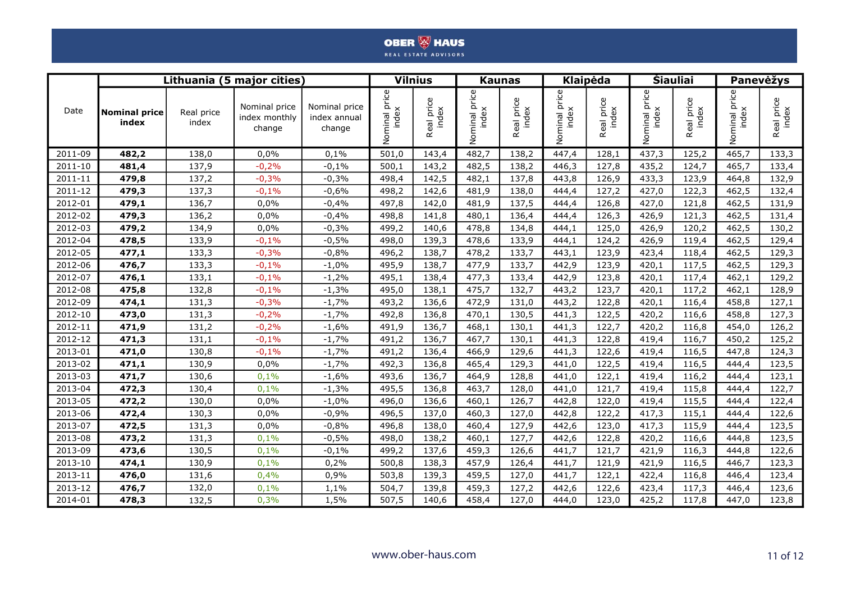|         |                               |                     | Lithuania (5 major cities                |                                         |                              | <b>Vilnius</b>      |                        | <b>Kaunas</b>       |                           | Klaipėda                   |                           | <b>Šiauliai</b>     |                        | Panevėžys           |  |
|---------|-------------------------------|---------------------|------------------------------------------|-----------------------------------------|------------------------------|---------------------|------------------------|---------------------|---------------------------|----------------------------|---------------------------|---------------------|------------------------|---------------------|--|
| Date    | <b>Nominal price</b><br>index | Real price<br>index | Nominal price<br>index monthly<br>change | Nominal price<br>index annual<br>change | index<br>index<br>minal<br>ē | Real price<br>index | Nominal price<br>index | Real price<br>index | price<br>index<br>Nominal | price<br>dex<br>Real<br>Ξ. | price<br>index<br>Nominal | Real price<br>index | ninal price<br>Nominal | Real price<br>index |  |
| 2011-09 | 482,2                         | 138,0               | 0,0%                                     | 0,1%                                    | 501,0                        | 143,4               | 482,7                  | 138,2               | 447,4                     | 128,1                      | 437,3                     | 125,2               | 465,7                  | 133,3               |  |
| 2011-10 | 481,4                         | 137,9               | $-0,2%$                                  | $-0,1%$                                 | 500,1                        | 143,2               | 482,5                  | 138,2               | 446,3                     | 127,8                      | 435,2                     | 124,7               | 465,7                  | 133,4               |  |
| 2011-11 | 479,8                         | 137,2               | $-0,3%$                                  | $-0,3%$                                 | 498,4                        | 142,5               | 482,1                  | 137,8               | 443,8                     | 126,9                      | 433,3                     | 123,9               | 464,8                  | 132,9               |  |
| 2011-12 | 479,3                         | 137,3               | $-0,1%$                                  | $-0,6%$                                 | 498,2                        | 142,6               | 481,9                  | 138,0               | 444,4                     | 127,2                      | 427,0                     | 122,3               | 462,5                  | 132,4               |  |
| 2012-01 | 479,1                         | 136,7               | 0,0%                                     | $-0,4%$                                 | 497,8                        | 142,0               | 481,9                  | 137,5               | 444,4                     | 126,8                      | 427,0                     | 121,8               | 462,5                  | 131,9               |  |
| 2012-02 | 479,3                         | 136,2               | 0,0%                                     | $-0,4%$                                 | 498,8                        | 141,8               | 480,1                  | 136,4               | 444,4                     | 126,3                      | 426,9                     | 121,3               | 462,5                  | 131,4               |  |
| 2012-03 | 479,2                         | 134,9               | 0,0%                                     | $-0,3%$                                 | 499,2                        | 140,6               | 478,8                  | 134,8               | 444,1                     | 125,0                      | 426,9                     | 120,2               | 462,5                  | 130,2               |  |
| 2012-04 | 478,5                         | 133,9               | $-0,1%$                                  | $-0,5%$                                 | 498,0                        | 139,3               | 478,6                  | 133,9               | 444,1                     | 124,2                      | 426,9                     | 119,4               | 462,5                  | 129,4               |  |
| 2012-05 | 477,1                         | 133,3               | $-0,3%$                                  | $-0,8%$                                 | 496,2                        | 138,7               | 478,2                  | 133,7               | 443,1                     | 123,9                      | 423,4                     | 118,4               | 462,5                  | 129,3               |  |
| 2012-06 | 476,7                         | 133,3               | $-0,1%$                                  | $-1,0%$                                 | 495,9                        | 138,7               | 477,9                  | 133,7               | 442,9                     | 123,9                      | 420,1                     | 117,5               | 462,5                  | 129,3               |  |
| 2012-07 | 476,1                         | 133,1               | $-0,1%$                                  | $-1,2%$                                 | 495,1                        | 138,4               | 477,3                  | 133,4               | 442,9                     | 123,8                      | 420,1                     | 117,4               | 462,1                  | 129,2               |  |
| 2012-08 | 475,8                         | 132,8               | $-0,1%$                                  | $-1,3%$                                 | 495,0                        | 138,1               | 475,7                  | 132,7               | 443,2                     | 123,7                      | 420,1                     | 117,2               | 462,1                  | 128,9               |  |
| 2012-09 | 474,1                         | 131,3               | $-0,3%$                                  | $-1,7%$                                 | 493,2                        | 136,6               | 472,9                  | 131,0               | 443,2                     | 122,8                      | 420,1                     | 116,4               | 458,8                  | 127,1               |  |
| 2012-10 | 473,0                         | 131,3               | $-0,2%$                                  | $-1,7%$                                 | 492,8                        | 136,8               | 470,1                  | 130,5               | 441,3                     | 122,5                      | 420,2                     | 116,6               | 458,8                  | 127,3               |  |
| 2012-11 | 471,9                         | 131,2               | $-0,2%$                                  | $-1,6%$                                 | 491,9                        | 136,7               | 468,1                  | 130,1               | 441,3                     | 122,7                      | 420,2                     | 116,8               | 454,0                  | 126,2               |  |
| 2012-12 | 471,3                         | 131,1               | $-0,1%$                                  | $-1,7%$                                 | 491,2                        | 136,7               | 467,7                  | 130,1               | 441,3                     | 122,8                      | 419,4                     | 116,7               | 450,2                  | 125,2               |  |
| 2013-01 | 471,0                         | 130,8               | $-0,1%$                                  | $-1,7%$                                 | 491,2                        | 136,4               | 466,9                  | 129,6               | 441,3                     | 122,6                      | 419,4                     | 116,5               | 447,8                  | 124,3               |  |
| 2013-02 | 471,1                         | 130,9               | 0,0%                                     | $-1,7%$                                 | 492,3                        | 136,8               | 465,4                  | 129,3               | 441,0                     | 122,5                      | 419,4                     | 116,5               | 444,4                  | 123,5               |  |
| 2013-03 | 471,7                         | 130,6               | 0,1%                                     | $-1,6%$                                 | 493,6                        | 136,7               | 464,9                  | 128,8               | 441,0                     | 122,1                      | 419,4                     | 116,2               | 444,4                  | 123,1               |  |
| 2013-04 | 472,3                         | 130,4               | 0,1%                                     | $-1,3%$                                 | 495,5                        | 136,8               | 463,7                  | 128,0               | 441,0                     | 121,7                      | 419,4                     | 115,8               | 444,4                  | 122,7               |  |
| 2013-05 | 472,2                         | 130,0               | 0,0%                                     | $-1,0%$                                 | 496,0                        | 136,6               | 460,1                  | 126,7               | 442,8                     | 122,0                      | 419,4                     | 115,5               | 444,4                  | 122,4               |  |
| 2013-06 | 472,4                         | 130,3               | 0,0%                                     | $-0,9%$                                 | 496,5                        | 137,0               | 460,3                  | 127,0               | 442,8                     | 122,2                      | 417,3                     | 115,1               | 444,4                  | 122,6               |  |
| 2013-07 | 472,5                         | 131,3               | 0,0%                                     | $-0,8%$                                 | 496,8                        | 138,0               | 460,4                  | 127,9               | 442,6                     | 123,0                      | 417,3                     | 115,9               | 444,4                  | 123,5               |  |
| 2013-08 | 473,2                         | 131,3               | 0,1%                                     | $-0,5%$                                 | 498,0                        | 138,2               | 460,1                  | 127,7               | 442,6                     | 122,8                      | 420,2                     | 116,6               | 444,8                  | 123,5               |  |
| 2013-09 | 473,6                         | 130,5               | 0,1%                                     | $-0,1%$                                 | 499,2                        | 137,6               | 459,3                  | 126,6               | 441,7                     | 121,7                      | 421,9                     | 116,3               | 444,8                  | 122,6               |  |
| 2013-10 | 474,1                         | 130,9               | 0,1%                                     | 0,2%                                    | 500,8                        | 138,3               | 457,9                  | 126,4               | 441,7                     | 121,9                      | 421,9                     | 116,5               | 446,7                  | 123,3               |  |
| 2013-11 | 476,0                         | 131,6               | 0,4%                                     | 0,9%                                    | 503,8                        | 139,3               | 459,5                  | 127,0               | 441,7                     | 122,1                      | 422,4                     | 116,8               | 446,4                  | 123,4               |  |
| 2013-12 | 476,7                         | 132,0               | 0,1%                                     | 1,1%                                    | 504,7                        | 139,8               | 459,3                  | 127,2               | 442,6                     | 122,6                      | 423,4                     | 117,3               | 446,4                  | 123,6               |  |
| 2014-01 | 478,3                         | 132,5               | 0,3%                                     | 1,5%                                    | 507,5                        | 140,6               | 458,4                  | 127,0               | 444,0                     | 123,0                      | 425,2                     | 117,8               | 447,0                  | 123,8               |  |